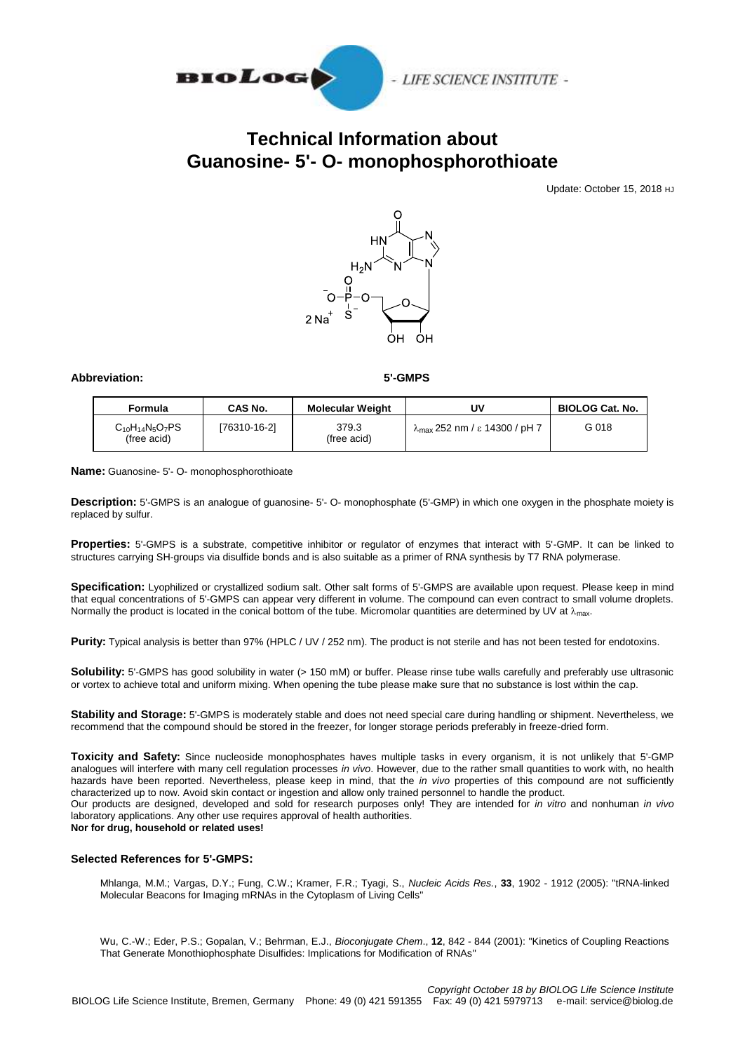

## **Technical Information about Guanosine- 5'- O- monophosphorothioate**

Update: October 15, 2018 HJ



## **Abbreviation: 5'-GMPS**

| Formula                               | CAS No.      | <b>Molecular Weight</b> | U٧                                             | <b>BIOLOG Cat. No.</b> |
|---------------------------------------|--------------|-------------------------|------------------------------------------------|------------------------|
| $C_{10}H_{14}N_5O_7PS$<br>(free acid) | [76310-16-2] | 379.3<br>(free acid)    | $\lambda_{\text{max}}$ 252 nm / ε 14300 / pH 7 | G 018                  |

**Name:** Guanosine- 5'- O- monophosphorothioate

**Description:** 5'-GMPS is an analogue of guanosine- 5'- O- monophosphate (5'-GMP) in which one oxygen in the phosphate moiety is replaced by sulfur.

**Properties:** 5'-GMPS is a substrate, competitive inhibitor or regulator of enzymes that interact with 5'-GMP. It can be linked to structures carrying SH-groups via disulfide bonds and is also suitable as a primer of RNA synthesis by T7 RNA polymerase.

**Specification:** Lyophilized or crystallized sodium salt. Other salt forms of 5'-GMPS are available upon request. Please keep in mind that equal concentrations of 5'-GMPS can appear very different in volume. The compound can even contract to small volume droplets. Normally the product is located in the conical bottom of the tube. Micromolar quantities are determined by UV at  $\lambda_{\text{max}}$ .

**Purity:** Typical analysis is better than 97% (HPLC / UV / 252 nm). The product is not sterile and has not been tested for endotoxins.

**Solubility:** 5'-GMPS has good solubility in water (> 150 mM) or buffer. Please rinse tube walls carefully and preferably use ultrasonic or vortex to achieve total and uniform mixing. When opening the tube please make sure that no substance is lost within the cap.

**Stability and Storage:** 5'-GMPS is moderately stable and does not need special care during handling or shipment. Nevertheless, we recommend that the compound should be stored in the freezer, for longer storage periods preferably in freeze-dried form.

**Toxicity and Safety:** Since nucleoside monophosphates haves multiple tasks in every organism, it is not unlikely that 5'-GMP analogues will interfere with many cell regulation processes *in vivo*. However, due to the rather small quantities to work with, no health hazards have been reported. Nevertheless, please keep in mind, that the *in vivo* properties of this compound are not sufficiently characterized up to now. Avoid skin contact or ingestion and allow only trained personnel to handle the product. Our products are designed, developed and sold for research purposes only! They are intended for *in vitro* and nonhuman *in vivo*  laboratory applications. Any other use requires approval of health authorities.

**Nor for drug, household or related uses!**

## **Selected References for 5'-GMPS:**

Mhlanga, M.M.; Vargas, D.Y.; Fung, C.W.; Kramer, F.R.; Tyagi, S., *Nucleic Acids Res.*, **33**, 1902 - 1912 (2005): "tRNA-linked Molecular Beacons for Imaging mRNAs in the Cytoplasm of Living Cells"

Wu, C.-W.; Eder, P.S.; Gopalan, V.; Behrman, E.J., *Bioconjugate Chem*., **12**, 842 - 844 (2001): "Kinetics of Coupling Reactions That Generate Monothiophosphate Disulfides: Implications for Modification of RNAs"